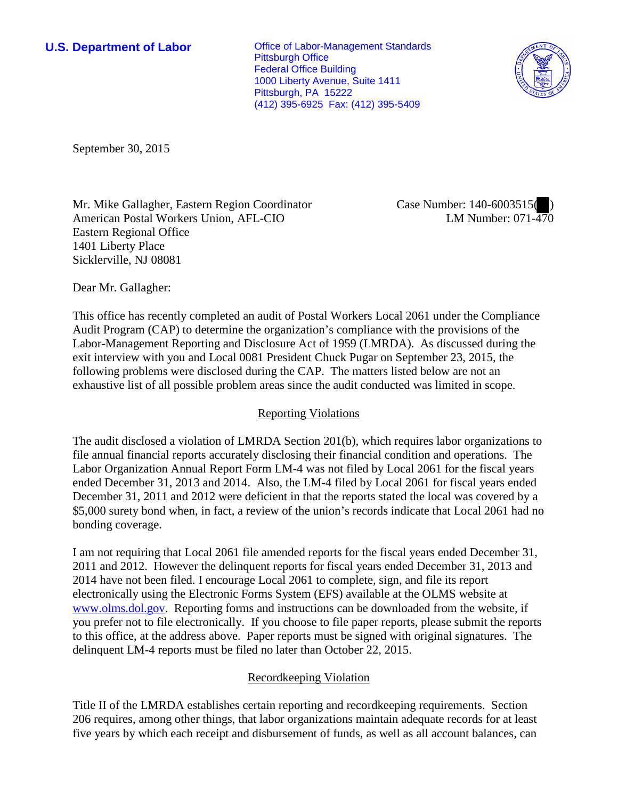**U.S. Department of Labor Conservative Conservative Conservative Conservative Conservative Conservative Conservative Conservative Conservative Conservative Conservative Conservative Conservative Conservative Conservative** Pittsburgh Office Federal Office Building 1000 Liberty Avenue, Suite 1411 Pittsburgh, PA 15222 (412) 395-6925 Fax: (412) 395-5409



September 30, 2015

Mr. Mike Gallagher, Eastern Region Coordinator American Postal Workers Union, AFL-CIO Eastern Regional Office 1401 Liberty Place Sicklerville, NJ 08081

Case Number: 140-6003515( ) LM Number: 071-470

Dear Mr. Gallagher:

This office has recently completed an audit of Postal Workers Local 2061 under the Compliance Audit Program (CAP) to determine the organization's compliance with the provisions of the Labor-Management Reporting and Disclosure Act of 1959 (LMRDA). As discussed during the exit interview with you and Local 0081 President Chuck Pugar on September 23, 2015, the following problems were disclosed during the CAP. The matters listed below are not an exhaustive list of all possible problem areas since the audit conducted was limited in scope.

## Reporting Violations

The audit disclosed a violation of LMRDA Section 201(b), which requires labor organizations to file annual financial reports accurately disclosing their financial condition and operations. The Labor Organization Annual Report Form LM-4 was not filed by Local 2061 for the fiscal years ended December 31, 2013 and 2014. Also, the LM-4 filed by Local 2061 for fiscal years ended December 31, 2011 and 2012 were deficient in that the reports stated the local was covered by a \$5,000 surety bond when, in fact, a review of the union's records indicate that Local 2061 had no bonding coverage.

I am not requiring that Local 2061 file amended reports for the fiscal years ended December 31, 2011 and 2012. However the delinquent reports for fiscal years ended December 31, 2013 and 2014 have not been filed. I encourage Local 2061 to complete, sign, and file its report electronically using the Electronic Forms System (EFS) available at the OLMS website at www.olms.dol.gov. Reporting forms and instructions can be downloaded from the website, if you prefer not to file electronically. If you choose to file paper reports, please submit the reports to this office, at the address above. Paper reports must be signed with original signatures. The delinquent LM-4 reports must be filed no later than October 22, 2015.

## Recordkeeping Violation

Title II of the LMRDA establishes certain reporting and recordkeeping requirements. Section 206 requires, among other things, that labor organizations maintain adequate records for at least five years by which each receipt and disbursement of funds, as well as all account balances, can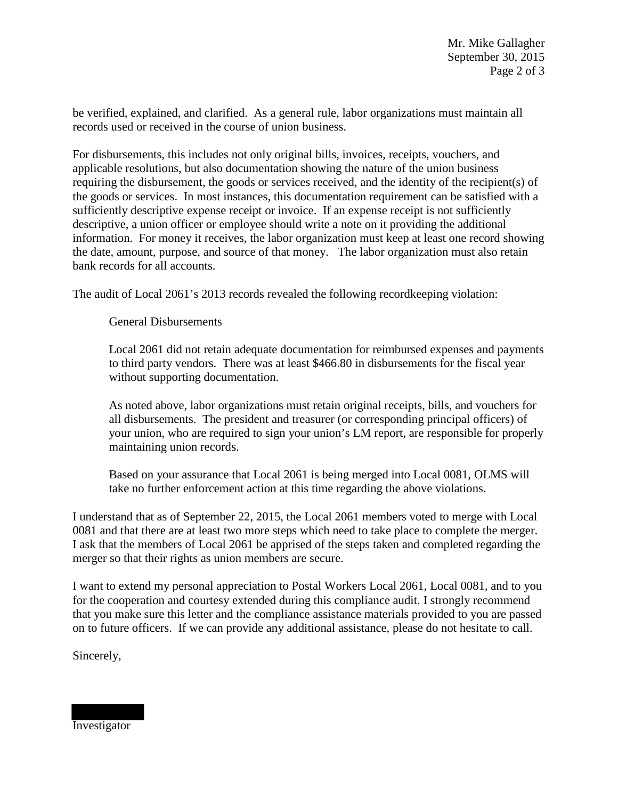be verified, explained, and clarified. As a general rule, labor organizations must maintain all records used or received in the course of union business.

For disbursements, this includes not only original bills, invoices, receipts, vouchers, and applicable resolutions, but also documentation showing the nature of the union business requiring the disbursement, the goods or services received, and the identity of the recipient(s) of the goods or services. In most instances, this documentation requirement can be satisfied with a sufficiently descriptive expense receipt or invoice. If an expense receipt is not sufficiently descriptive, a union officer or employee should write a note on it providing the additional information. For money it receives, the labor organization must keep at least one record showing the date, amount, purpose, and source of that money. The labor organization must also retain bank records for all accounts.

The audit of Local 2061's 2013 records revealed the following recordkeeping violation:

General Disbursements

Local 2061 did not retain adequate documentation for reimbursed expenses and payments to third party vendors. There was at least \$466.80 in disbursements for the fiscal year without supporting documentation.

As noted above, labor organizations must retain original receipts, bills, and vouchers for all disbursements. The president and treasurer (or corresponding principal officers) of your union, who are required to sign your union's LM report, are responsible for properly maintaining union records.

Based on your assurance that Local 2061 is being merged into Local 0081, OLMS will take no further enforcement action at this time regarding the above violations.

I understand that as of September 22, 2015, the Local 2061 members voted to merge with Local 0081 and that there are at least two more steps which need to take place to complete the merger. I ask that the members of Local 2061 be apprised of the steps taken and completed regarding the merger so that their rights as union members are secure.

I want to extend my personal appreciation to Postal Workers Local 2061, Local 0081, and to you for the cooperation and courtesy extended during this compliance audit. I strongly recommend that you make sure this letter and the compliance assistance materials provided to you are passed on to future officers. If we can provide any additional assistance, please do not hesitate to call.

Sincerely,